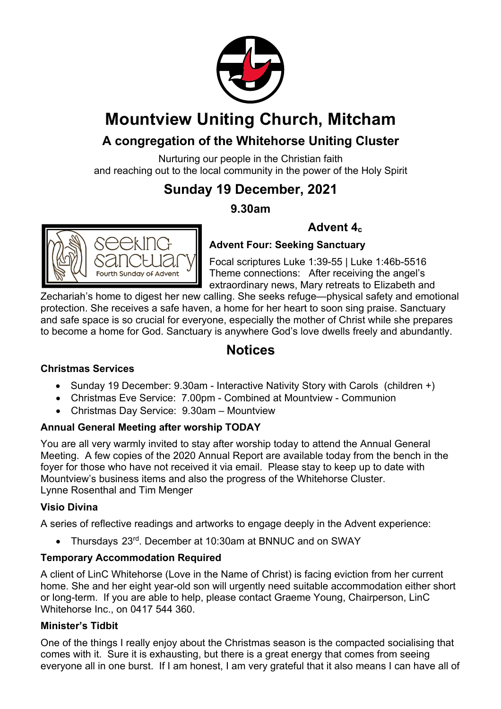

# **Mountview Uniting Church, Mitcham**

### **A congregation of the Whitehorse Uniting Cluster**

Nurturing our people in the Christian faith and reaching out to the local community in the power of the Holy Spirit

## **Sunday 19 December, 2021**

### **9.30am**



### **Advent 4c**

**Advent Four: Seeking Sanctuary**

Focal scriptures Luke 1:39-55 | Luke 1:46b-5516 Theme connections: After receiving the angel's extraordinary news, Mary retreats to Elizabeth and

Zechariah's home to digest her new calling. She seeks refuge—physical safety and emotional protection. She receives a safe haven, a home for her heart to soon sing praise. Sanctuary and safe space is so crucial for everyone, especially the mother of Christ while she prepares to become a home for God. Sanctuary is anywhere God's love dwells freely and abundantly.

### **Notices**

#### **Christmas Services**

- Sunday 19 December: 9.30am Interactive Nativity Story with Carols (children +)
- Christmas Eve Service: 7.00pm Combined at Mountview Communion
- Christmas Day Service: 9.30am Mountview

#### **Annual General Meeting after worship TODAY**

You are all very warmly invited to stay after worship today to attend the Annual General Meeting. A few copies of the 2020 Annual Report are available today from the bench in the foyer for those who have not received it via email. Please stay to keep up to date with Mountview's business items and also the progress of the Whitehorse Cluster. Lynne Rosenthal and Tim Menger

#### **Visio Divina**

A series of reflective readings and artworks to engage deeply in the Advent experience:

• Thursdays 23rd. December at 10:30am at BNNUC and on SWAY

#### **Temporary Accommodation Required**

A client of LinC Whitehorse (Love in the Name of Christ) is facing eviction from her current home. She and her eight year-old son will urgently need suitable accommodation either short or long-term. If you are able to help, please contact Graeme Young, Chairperson, LinC Whitehorse Inc., on 0417 544 360.

#### **Minister's Tidbit**

One of the things I really enjoy about the Christmas season is the compacted socialising that comes with it. Sure it is exhausting, but there is a great energy that comes from seeing everyone all in one burst. If I am honest, I am very grateful that it also means I can have all of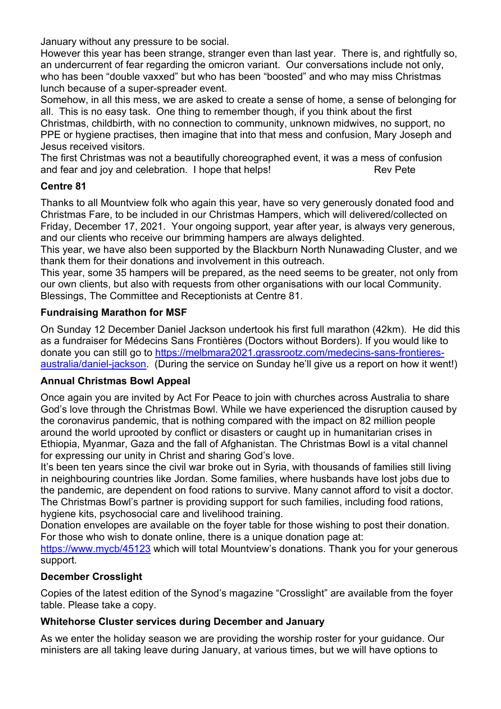January without any pressure to be social.

However this year has been strange, stranger even than last year. There is, and rightfully so, an undercurrent of fear regarding the omicron variant. Our conversations include not only, who has been "double vaxxed" but who has been "boosted" and who may miss Christmas lunch because of a super-spreader event.

Somehow, in all this mess, we are asked to create a sense of home, a sense of belonging for all. This is no easy task. One thing to remember though, if you think about the first Christmas, childbirth, with no connection to community, unknown midwives, no support, no PPE or hygiene practises, then imagine that into that mess and confusion, Mary Joseph and Jesus received visitors.

The first Christmas was not a beautifully choreographed event, it was a mess of confusion and fear and joy and celebration. I hope that helps! Rev Pete

#### **Centre 81**

Thanks to all Mountview folk who again this year, have so very generously donated food and Christmas Fare, to be included in our Christmas Hampers, which will delivered/collected on Friday, December 17, 2021. Your ongoing support, year after year, is always very generous, and our clients who receive our brimming hampers are always delighted.

This year, we have also been supported by the Blackburn North Nunawading Cluster, and we thank them for their donations and involvement in this outreach.

This year, some 35 hampers will be prepared, as the need seems to be greater, not only from our own clients, but also with requests from other organisations with our local Community. Blessings, The Committee and Receptionists at Centre 81.

#### **Fundraising Marathon for MSF**

On Sunday 12 December Daniel Jackson undertook his first full marathon (42km). He did this as a fundraiser for Médecins Sans Frontières (Doctors without Borders). If you would like to donate you can still go to https://melbmara2021.grassrootz.com/medecins-sans-frontieresaustralia/daniel-jackson. (During the service on Sunday he'll give us a report on how it went!)

#### **Annual Christmas Bowl Appeal**

Once again you are invited by Act For Peace to join with churches across Australia to share God's love through the Christmas Bowl. While we have experienced the disruption caused by the coronavirus pandemic, that is nothing compared with the impact on 82 million people around the world uprooted by conflict or disasters or caught up in humanitarian crises in Ethiopia, Myanmar, Gaza and the fall of Afghanistan. The Christmas Bowl is a vital channel for expressing our unity in Christ and sharing God's love.

It's been ten years since the civil war broke out in Syria, with thousands of families still living in neighbouring countries like Jordan. Some families, where husbands have lost jobs due to the pandemic, are dependent on food rations to survive. Many cannot afford to visit a doctor. The Christmas Bowl's partner is providing support for such families, including food rations, hygiene kits, psychosocial care and livelihood training.

Donation envelopes are available on the foyer table for those wishing to post their donation. For those who wish to donate online, there is a unique donation page at:

https://www.mycb/45123 which will total Mountview's donations. Thank you for your generous support.

#### **December Crosslight**

Copies of the latest edition of the Synod's magazine "Crosslight" are available from the foyer table. Please take a copy.

#### **Whitehorse Cluster services during December and January**

As we enter the holiday season we are providing the worship roster for your guidance. Our ministers are all taking leave during January, at various times, but we will have options to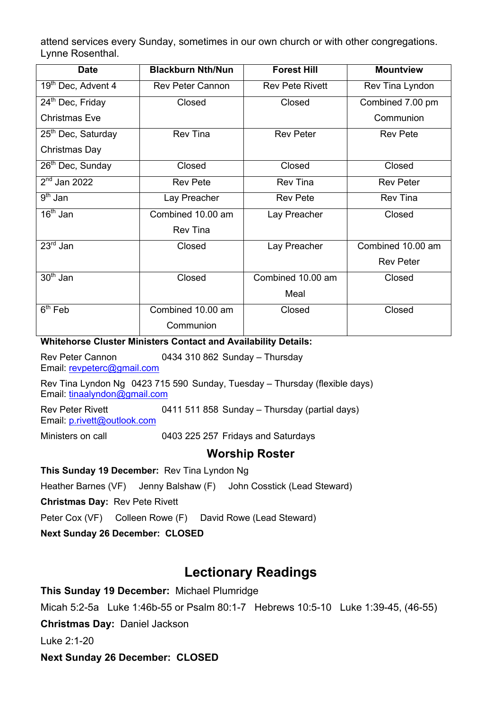attend services every Sunday, sometimes in our own church or with other congregations. Lynne Rosenthal.

| <b>Date</b>                    | <b>Blackburn Nth/Nun</b> | <b>Forest Hill</b>     | <b>Mountview</b>  |
|--------------------------------|--------------------------|------------------------|-------------------|
| 19 <sup>th</sup> Dec, Advent 4 | <b>Rev Peter Cannon</b>  | <b>Rev Pete Rivett</b> | Rev Tina Lyndon   |
| 24 <sup>th</sup> Dec, Friday   | Closed                   | Closed                 | Combined 7.00 pm  |
| <b>Christmas Eve</b>           |                          |                        | Communion         |
| 25 <sup>th</sup> Dec, Saturday | <b>Rev Tina</b>          | <b>Rev Peter</b>       | <b>Rev Pete</b>   |
| Christmas Day                  |                          |                        |                   |
| 26 <sup>th</sup> Dec, Sunday   | Closed                   | Closed                 | Closed            |
| $2nd$ Jan 2022                 | <b>Rev Pete</b>          | <b>Rev Tina</b>        | <b>Rev Peter</b>  |
| $9th$ Jan                      | Lay Preacher             | <b>Rev Pete</b>        | <b>Rev Tina</b>   |
| $16th$ Jan                     | Combined 10.00 am        | Lay Preacher           | Closed            |
|                                | <b>Rev Tina</b>          |                        |                   |
| $23rd$ Jan                     | Closed                   | Lay Preacher           | Combined 10.00 am |
|                                |                          |                        | <b>Rev Peter</b>  |
| $30th$ Jan                     | Closed                   | Combined 10.00 am      | Closed            |
|                                |                          | Meal                   |                   |
| $6th$ Feb                      | Combined 10.00 am        | Closed                 | Closed            |
|                                | Communion                |                        |                   |

#### **Whitehorse Cluster Ministers Contact and Availability Details:**

Rev Peter Cannon 0434 310 862 Sunday – Thursday Email: revpeterc@gmail.com

Rev Tina Lyndon Ng 0423 715 590 Sunday, Tuesday – Thursday (flexible days) Email: tinaalyndon@gmail.com

Rev Peter Rivett 0411 511 858 Sunday – Thursday (partial days) Email: p.rivett@outlook.com

Ministers on call 0403 225 257 Fridays and Saturdays

#### **Worship Roster**

#### **This Sunday 19 December:** Rev Tina Lyndon Ng

Heather Barnes (VF) Jenny Balshaw (F) John Cosstick (Lead Steward)

**Christmas Day:** Rev Pete Rivett

Peter Cox (VF) Colleen Rowe (F) David Rowe (Lead Steward)

**Next Sunday 26 December: CLOSED**

### **Lectionary Readings**

**This Sunday 19 December:** Michael Plumridge Micah 5:2-5a Luke 1:46b-55 or Psalm 80:1-7 Hebrews 10:5-10 Luke 1:39-45, (46-55) **Christmas Day:** Daniel Jackson Luke 2:1-20 **Next Sunday 26 December: CLOSED**